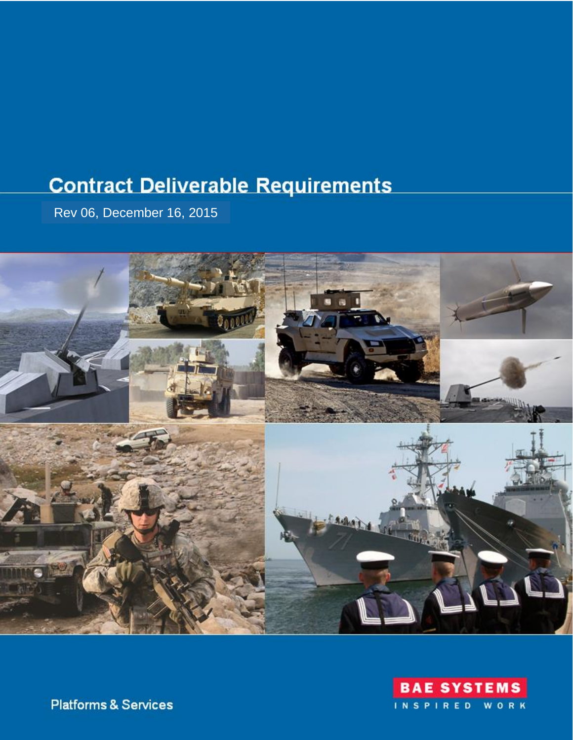# **Contract Deliverable Requirements**

Rev 06, December 16, 2015





**Platforms & Services**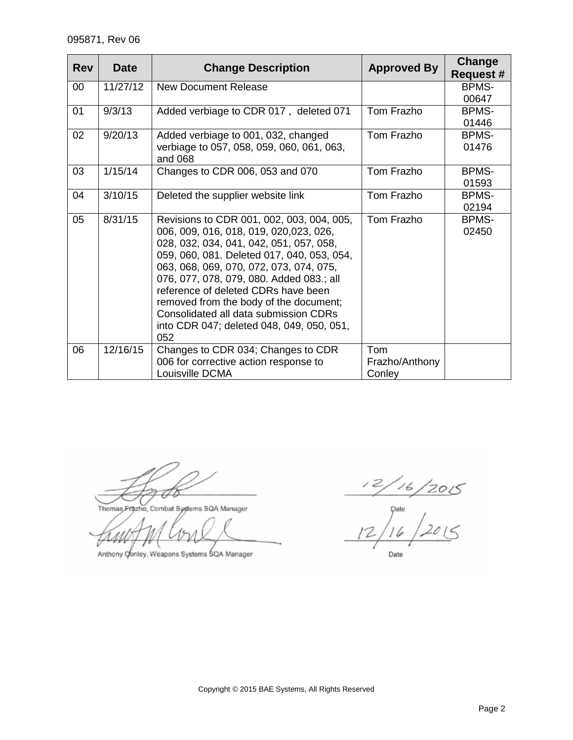| <b>Rev</b> | <b>Date</b> | <b>Change Description</b>                                                                                                                                                                                                                                                                                                                                                                                                                         | <b>Approved By</b>              | Change<br><b>Request #</b> |
|------------|-------------|---------------------------------------------------------------------------------------------------------------------------------------------------------------------------------------------------------------------------------------------------------------------------------------------------------------------------------------------------------------------------------------------------------------------------------------------------|---------------------------------|----------------------------|
| $00\,$     | 11/27/12    | <b>New Document Release</b>                                                                                                                                                                                                                                                                                                                                                                                                                       |                                 | <b>BPMS-</b>               |
|            |             |                                                                                                                                                                                                                                                                                                                                                                                                                                                   |                                 | 00647                      |
| 01         | 9/3/13      | Added verbiage to CDR 017, deleted 071                                                                                                                                                                                                                                                                                                                                                                                                            | Tom Frazho                      | <b>BPMS-</b>               |
|            |             |                                                                                                                                                                                                                                                                                                                                                                                                                                                   |                                 | 01446                      |
| 02         | 9/20/13     | Added verbiage to 001, 032, changed                                                                                                                                                                                                                                                                                                                                                                                                               | Tom Frazho                      | <b>BPMS-</b>               |
|            |             | verbiage to 057, 058, 059, 060, 061, 063,<br>and 068                                                                                                                                                                                                                                                                                                                                                                                              |                                 | 01476                      |
| 03         | 1/15/14     | Changes to CDR 006, 053 and 070                                                                                                                                                                                                                                                                                                                                                                                                                   | Tom Frazho                      | <b>BPMS-</b>               |
|            |             |                                                                                                                                                                                                                                                                                                                                                                                                                                                   |                                 | 01593                      |
| 04         | 3/10/15     | Deleted the supplier website link                                                                                                                                                                                                                                                                                                                                                                                                                 | Tom Frazho                      | <b>BPMS-</b>               |
|            |             |                                                                                                                                                                                                                                                                                                                                                                                                                                                   |                                 | 02194                      |
| 05         | 8/31/15     | Revisions to CDR 001, 002, 003, 004, 005,<br>006, 009, 016, 018, 019, 020,023, 026,<br>028, 032, 034, 041, 042, 051, 057, 058,<br>059, 060, 081. Deleted 017, 040, 053, 054,<br>063, 068, 069, 070, 072, 073, 074, 075,<br>076, 077, 078, 079, 080. Added 083.; all<br>reference of deleted CDRs have been<br>removed from the body of the document;<br>Consolidated all data submission CDRs<br>into CDR 047; deleted 048, 049, 050, 051,<br>052 | Tom Frazho                      | <b>BPMS-</b><br>02450      |
| 06         | 12/16/15    | Changes to CDR 034; Changes to CDR<br>006 for corrective action response to<br>Louisville DCMA                                                                                                                                                                                                                                                                                                                                                    | Tom<br>Frazho/Anthony<br>Conley |                            |

FØ

Thomas Frazho, Combat Systems SQA Manager

Anthony Oonley, Weapons Systems SQA Manager

 $\frac{12/16/2015}{12/16/2015}$ Date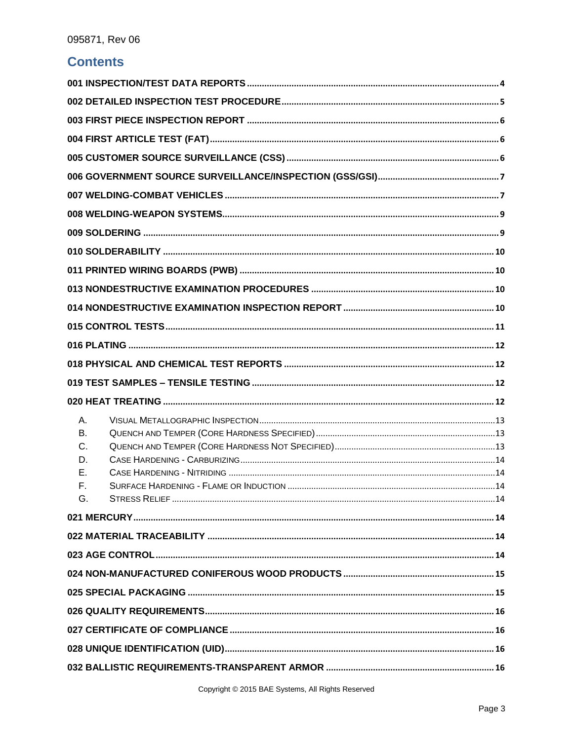# **Contents**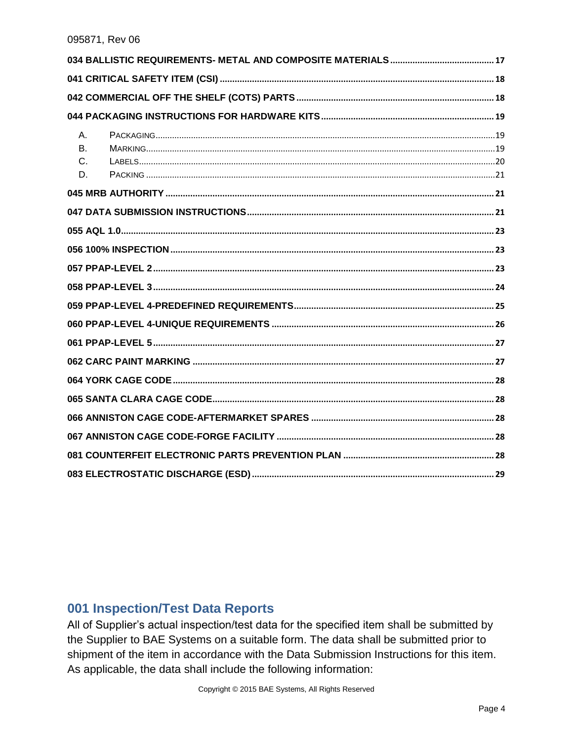| А.<br><b>B.</b> |  |
|-----------------|--|
| C.<br>D.        |  |
|                 |  |
|                 |  |
|                 |  |
|                 |  |
|                 |  |
|                 |  |
|                 |  |
|                 |  |
|                 |  |
|                 |  |
|                 |  |
|                 |  |
|                 |  |
|                 |  |
|                 |  |
|                 |  |

### <span id="page-3-0"></span>001 Inspection/Test Data Reports

All of Supplier's actual inspection/test data for the specified item shall be submitted by the Supplier to BAE Systems on a suitable form. The data shall be submitted prior to shipment of the item in accordance with the Data Submission Instructions for this item. As applicable, the data shall include the following information: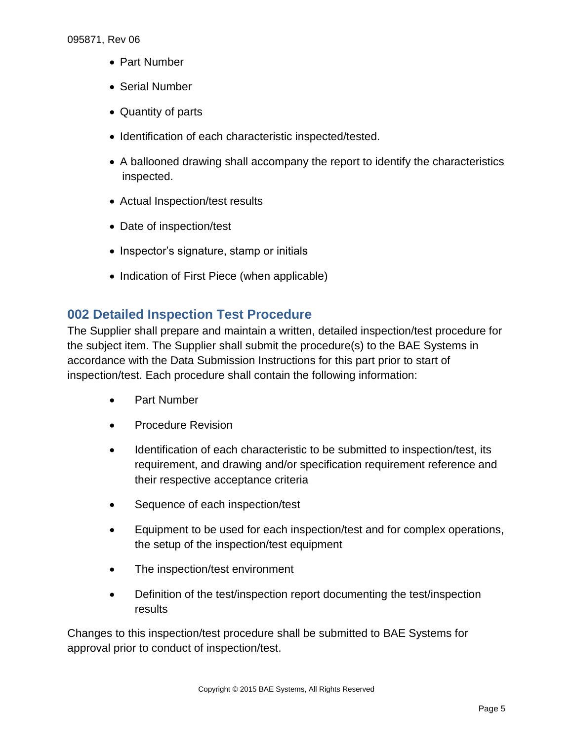- Part Number
- Serial Number
- Quantity of parts
- Identification of each characteristic inspected/tested.
- A ballooned drawing shall accompany the report to identify the characteristics inspected.
- Actual Inspection/test results
- Date of inspection/test
- Inspector's signature, stamp or initials
- Indication of First Piece (when applicable)

# <span id="page-4-0"></span>**002 Detailed Inspection Test Procedure**

The Supplier shall prepare and maintain a written, detailed inspection/test procedure for the subject item. The Supplier shall submit the procedure(s) to the BAE Systems in accordance with the Data Submission Instructions for this part prior to start of inspection/test. Each procedure shall contain the following information:

- Part Number
- Procedure Revision
- Identification of each characteristic to be submitted to inspection/test, its requirement, and drawing and/or specification requirement reference and their respective acceptance criteria
- Sequence of each inspection/test
- Equipment to be used for each inspection/test and for complex operations, the setup of the inspection/test equipment
- The inspection/test environment
- Definition of the test/inspection report documenting the test/inspection results

Changes to this inspection/test procedure shall be submitted to BAE Systems for approval prior to conduct of inspection/test.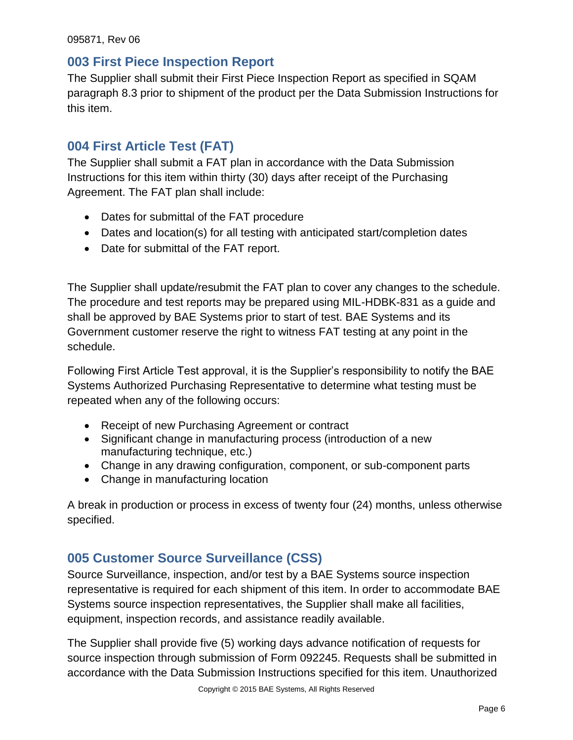### <span id="page-5-0"></span>**003 First Piece Inspection Report**

The Supplier shall submit their First Piece Inspection Report as specified in SQAM paragraph 8.3 prior to shipment of the product per the Data Submission Instructions for this item.

# <span id="page-5-1"></span>**004 First Article Test (FAT)**

The Supplier shall submit a FAT plan in accordance with the Data Submission Instructions for this item within thirty (30) days after receipt of the Purchasing Agreement. The FAT plan shall include:

- Dates for submittal of the FAT procedure
- Dates and location(s) for all testing with anticipated start/completion dates
- Date for submittal of the FAT report.

The Supplier shall update/resubmit the FAT plan to cover any changes to the schedule. The procedure and test reports may be prepared using MIL-HDBK-831 as a guide and shall be approved by BAE Systems prior to start of test. BAE Systems and its Government customer reserve the right to witness FAT testing at any point in the schedule.

Following First Article Test approval, it is the Supplier's responsibility to notify the BAE Systems Authorized Purchasing Representative to determine what testing must be repeated when any of the following occurs:

- Receipt of new Purchasing Agreement or contract
- Significant change in manufacturing process (introduction of a new manufacturing technique, etc.)
- Change in any drawing configuration, component, or sub-component parts
- Change in manufacturing location

A break in production or process in excess of twenty four (24) months, unless otherwise specified.

# <span id="page-5-2"></span>**005 Customer Source Surveillance (CSS)**

Source Surveillance, inspection, and/or test by a BAE Systems source inspection representative is required for each shipment of this item. In order to accommodate BAE Systems source inspection representatives, the Supplier shall make all facilities, equipment, inspection records, and assistance readily available.

The Supplier shall provide five (5) working days advance notification of requests for source inspection through submission of Form 092245. Requests shall be submitted in accordance with the Data Submission Instructions specified for this item. Unauthorized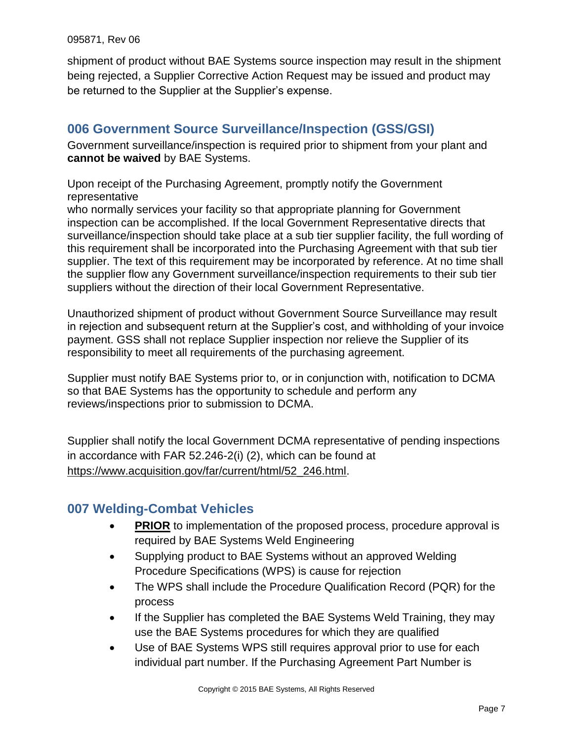shipment of product without BAE Systems source inspection may result in the shipment being rejected, a Supplier Corrective Action Request may be issued and product may be returned to the Supplier at the Supplier's expense.

# <span id="page-6-0"></span>**006 Government Source Surveillance/Inspection (GSS/GSI)**

<span id="page-6-1"></span>Government surveillance/inspection is required prior to shipment from your plant and **cannot be waived** by BAE Systems.

Upon receipt of the Purchasing Agreement, promptly notify the Government representative

who normally services your facility so that appropriate planning for Government inspection can be accomplished. If the local Government Representative directs that surveillance/inspection should take place at a sub tier supplier facility, the full wording of this requirement shall be incorporated into the Purchasing Agreement with that sub tier supplier. The text of this requirement may be incorporated by reference. At no time shall the supplier flow any Government surveillance/inspection requirements to their sub tier suppliers without the direction of their local Government Representative.

Unauthorized shipment of product without Government Source Surveillance may result in rejection and subsequent return at the Supplier's cost, and withholding of your invoice payment. GSS shall not replace Supplier inspection nor relieve the Supplier of its responsibility to meet all requirements of the purchasing agreement.

Supplier must notify BAE Systems prior to, or in conjunction with, notification to DCMA so that BAE Systems has the opportunity to schedule and perform any reviews/inspections prior to submission to DCMA.

Supplier shall notify the local Government DCMA representative of pending inspections in accordance with FAR 52.246-2(i) (2), which can be found at https://www.acquisition.gov/far/current/html/52\_246.html.

# **007 Welding-Combat Vehicles**

- **PRIOR** to implementation of the proposed process, procedure approval is required by BAE Systems Weld Engineering
- Supplying product to BAE Systems without an approved Welding Procedure Specifications (WPS) is cause for rejection
- The WPS shall include the Procedure Qualification Record (PQR) for the process
- If the Supplier has completed the BAE Systems Weld Training, they may use the BAE Systems procedures for which they are qualified
- Use of BAE Systems WPS still requires approval prior to use for each individual part number. If the Purchasing Agreement Part Number is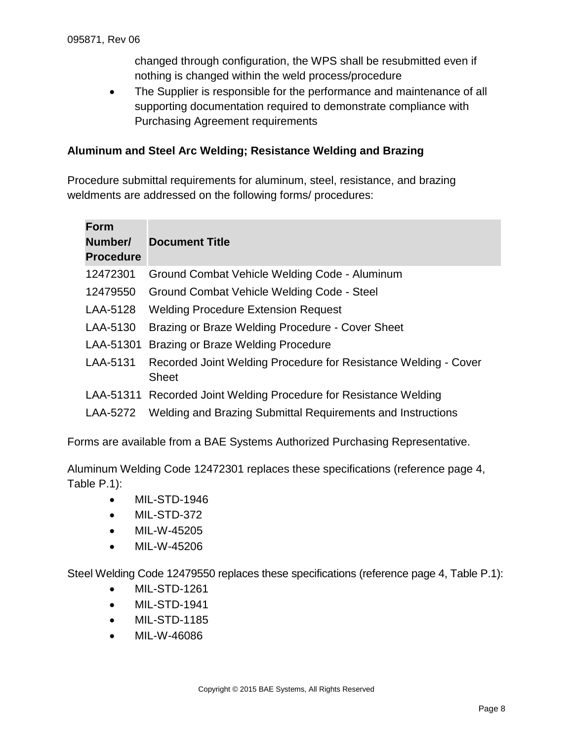changed through configuration, the WPS shall be resubmitted even if nothing is changed within the weld process/procedure

• The Supplier is responsible for the performance and maintenance of all supporting documentation required to demonstrate compliance with Purchasing Agreement requirements

#### **Aluminum and Steel Arc Welding; Resistance Welding and Brazing**

Procedure submittal requirements for aluminum, steel, resistance, and brazing weldments are addressed on the following forms/ procedures:

| <b>Form</b><br>Number/<br><b>Procedure</b> | <b>Document Title</b>                                                           |
|--------------------------------------------|---------------------------------------------------------------------------------|
| 12472301                                   | Ground Combat Vehicle Welding Code - Aluminum                                   |
| 12479550                                   | Ground Combat Vehicle Welding Code - Steel                                      |
| LAA-5128                                   | <b>Welding Procedure Extension Request</b>                                      |
| LAA-5130                                   | Brazing or Braze Welding Procedure - Cover Sheet                                |
| LAA-51301                                  | Brazing or Braze Welding Procedure                                              |
| LAA-5131                                   | Recorded Joint Welding Procedure for Resistance Welding - Cover<br><b>Sheet</b> |
|                                            | LAA-51311 Recorded Joint Welding Procedure for Resistance Welding               |
| LAA-5272                                   | Welding and Brazing Submittal Requirements and Instructions                     |

Forms are available from a BAE Systems Authorized Purchasing Representative.

Aluminum Welding Code 12472301 replaces these specifications (reference page 4, Table P.1):

- MIL-STD-1946
- MIL-STD-372
- MIL-W-45205
- MIL-W-45206

Steel Welding Code 12479550 replaces these specifications (reference page 4, Table P.1):

- MIL-STD-1261
- MIL-STD-1941
- MIL-STD-1185
- MIL-W-46086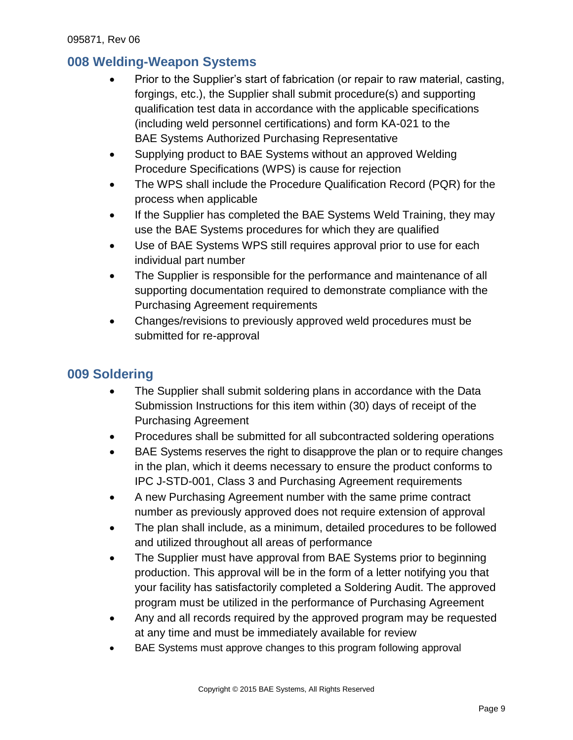# <span id="page-8-0"></span>**008 Welding-Weapon Systems**

- Prior to the Supplier's start of fabrication (or repair to raw material, casting, forgings, etc.), the Supplier shall submit procedure(s) and supporting qualification test data in accordance with the applicable specifications (including weld personnel certifications) and form KA-021 to the BAE Systems Authorized Purchasing Representative
- Supplying product to BAE Systems without an approved Welding Procedure Specifications (WPS) is cause for rejection
- The WPS shall include the Procedure Qualification Record (PQR) for the process when applicable
- If the Supplier has completed the BAE Systems Weld Training, they may use the BAE Systems procedures for which they are qualified
- Use of BAE Systems WPS still requires approval prior to use for each individual part number
- The Supplier is responsible for the performance and maintenance of all supporting documentation required to demonstrate compliance with the Purchasing Agreement requirements
- Changes/revisions to previously approved weld procedures must be submitted for re-approval

# <span id="page-8-1"></span>**009 Soldering**

- The Supplier shall submit soldering plans in accordance with the Data Submission Instructions for this item within (30) days of receipt of the Purchasing Agreement
- Procedures shall be submitted for all subcontracted soldering operations
- BAE Systems reserves the right to disapprove the plan or to require changes in the plan, which it deems necessary to ensure the product conforms to IPC J-STD-001, Class 3 and Purchasing Agreement requirements
- A new Purchasing Agreement number with the same prime contract number as previously approved does not require extension of approval
- The plan shall include, as a minimum, detailed procedures to be followed and utilized throughout all areas of performance
- The Supplier must have approval from BAE Systems prior to beginning production. This approval will be in the form of a letter notifying you that your facility has satisfactorily completed a Soldering Audit. The approved program must be utilized in the performance of Purchasing Agreement
- Any and all records required by the approved program may be requested at any time and must be immediately available for review
- BAE Systems must approve changes to this program following approval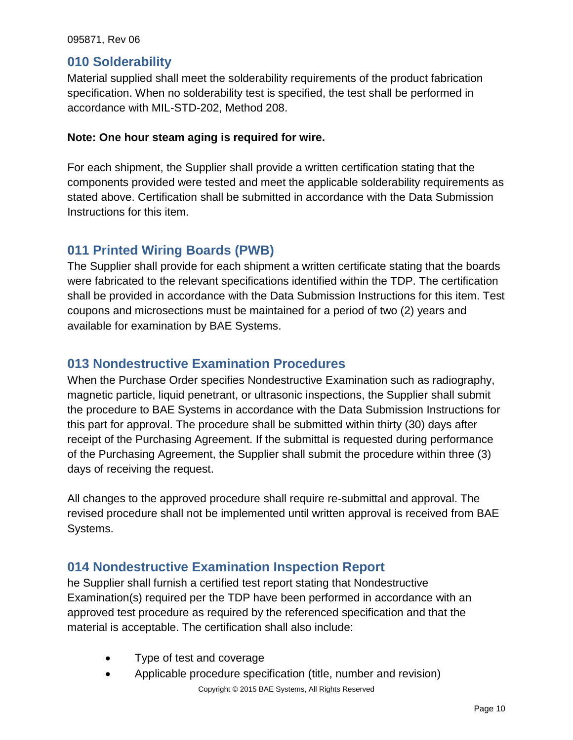### <span id="page-9-0"></span>**010 Solderability**

Material supplied shall meet the solderability requirements of the product fabrication specification. When no solderability test is specified, the test shall be performed in accordance with MIL-STD-202, Method 208.

#### **Note: One hour steam aging is required for wire.**

For each shipment, the Supplier shall provide a written certification stating that the components provided were tested and meet the applicable solderability requirements as stated above. Certification shall be submitted in accordance with the Data Submission Instructions for this item.

### <span id="page-9-1"></span>**011 Printed Wiring Boards (PWB)**

The Supplier shall provide for each shipment a written certificate stating that the boards were fabricated to the relevant specifications identified within the TDP. The certification shall be provided in accordance with the Data Submission Instructions for this item. Test coupons and microsections must be maintained for a period of two (2) years and available for examination by BAE Systems.

### <span id="page-9-2"></span>**013 Nondestructive Examination Procedures**

When the Purchase Order specifies Nondestructive Examination such as radiography, magnetic particle, liquid penetrant, or ultrasonic inspections, the Supplier shall submit the procedure to BAE Systems in accordance with the Data Submission Instructions for this part for approval. The procedure shall be submitted within thirty (30) days after receipt of the Purchasing Agreement. If the submittal is requested during performance of the Purchasing Agreement, the Supplier shall submit the procedure within three (3) days of receiving the request.

All changes to the approved procedure shall require re-submittal and approval. The revised procedure shall not be implemented until written approval is received from BAE Systems.

### <span id="page-9-3"></span>**014 Nondestructive Examination Inspection Report**

he Supplier shall furnish a certified test report stating that Nondestructive Examination(s) required per the TDP have been performed in accordance with an approved test procedure as required by the referenced specification and that the material is acceptable. The certification shall also include:

- Type of test and coverage
- Copyright © 2015 BAE Systems, All Rights Reserved Applicable procedure specification (title, number and revision)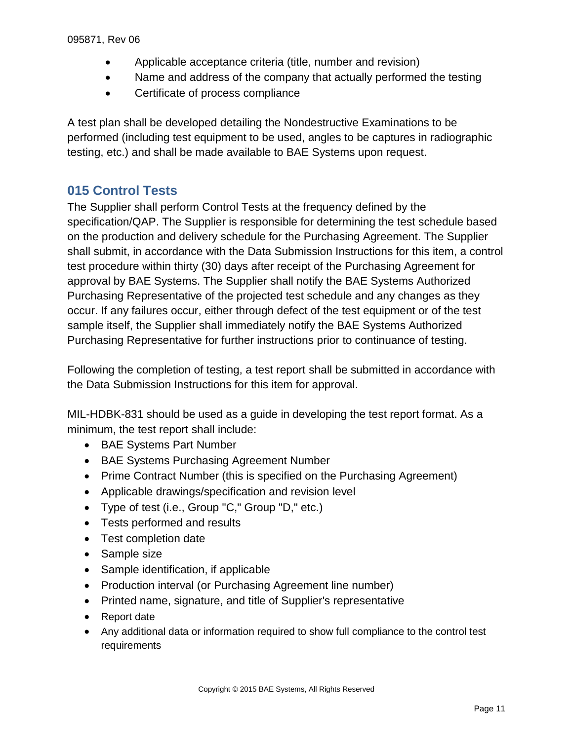- Applicable acceptance criteria (title, number and revision)
- Name and address of the company that actually performed the testing
- Certificate of process compliance

A test plan shall be developed detailing the Nondestructive Examinations to be performed (including test equipment to be used, angles to be captures in radiographic testing, etc.) and shall be made available to BAE Systems upon request.

# <span id="page-10-0"></span>**015 Control Tests**

The Supplier shall perform Control Tests at the frequency defined by the specification/QAP. The Supplier is responsible for determining the test schedule based on the production and delivery schedule for the Purchasing Agreement. The Supplier shall submit, in accordance with the Data Submission Instructions for this item, a control test procedure within thirty (30) days after receipt of the Purchasing Agreement for approval by BAE Systems. The Supplier shall notify the BAE Systems Authorized Purchasing Representative of the projected test schedule and any changes as they occur. If any failures occur, either through defect of the test equipment or of the test sample itself, the Supplier shall immediately notify the BAE Systems Authorized Purchasing Representative for further instructions prior to continuance of testing.

Following the completion of testing, a test report shall be submitted in accordance with the Data Submission Instructions for this item for approval.

MIL-HDBK-831 should be used as a guide in developing the test report format. As a minimum, the test report shall include:

- BAE Systems Part Number
- BAE Systems Purchasing Agreement Number
- Prime Contract Number (this is specified on the Purchasing Agreement)
- Applicable drawings/specification and revision level
- Type of test (i.e., Group "C," Group "D," etc.)
- Tests performed and results
- Test completion date
- Sample size
- Sample identification, if applicable
- Production interval (or Purchasing Agreement line number)
- Printed name, signature, and title of Supplier's representative
- Report date
- Any additional data or information required to show full compliance to the control test requirements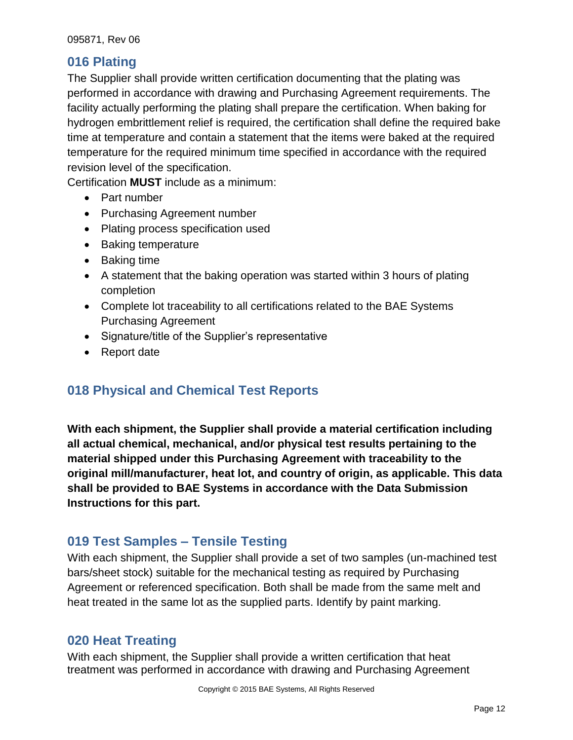# <span id="page-11-0"></span>**016 Plating**

The Supplier shall provide written certification documenting that the plating was performed in accordance with drawing and Purchasing Agreement requirements. The facility actually performing the plating shall prepare the certification. When baking for hydrogen embrittlement relief is required, the certification shall define the required bake time at temperature and contain a statement that the items were baked at the required temperature for the required minimum time specified in accordance with the required revision level of the specification.

Certification **MUST** include as a minimum:

- Part number
- Purchasing Agreement number
- Plating process specification used
- Baking temperature
- Baking time
- A statement that the baking operation was started within 3 hours of plating completion
- Complete lot traceability to all certifications related to the BAE Systems Purchasing Agreement
- Signature/title of the Supplier's representative
- Report date

# <span id="page-11-1"></span>**018 Physical and Chemical Test Reports**

**With each shipment, the Supplier shall provide a material certification including all actual chemical, mechanical, and/or physical test results pertaining to the material shipped under this Purchasing Agreement with traceability to the original mill/manufacturer, heat lot, and country of origin, as applicable. This data shall be provided to BAE Systems in accordance with the Data Submission Instructions for this part.**

# <span id="page-11-2"></span>**019 Test Samples – Tensile Testing**

With each shipment, the Supplier shall provide a set of two samples (un-machined test bars/sheet stock) suitable for the mechanical testing as required by Purchasing Agreement or referenced specification. Both shall be made from the same melt and heat treated in the same lot as the supplied parts. Identify by paint marking.

# <span id="page-11-3"></span>**020 Heat Treating**

With each shipment, the Supplier shall provide a written certification that heat treatment was performed in accordance with drawing and Purchasing Agreement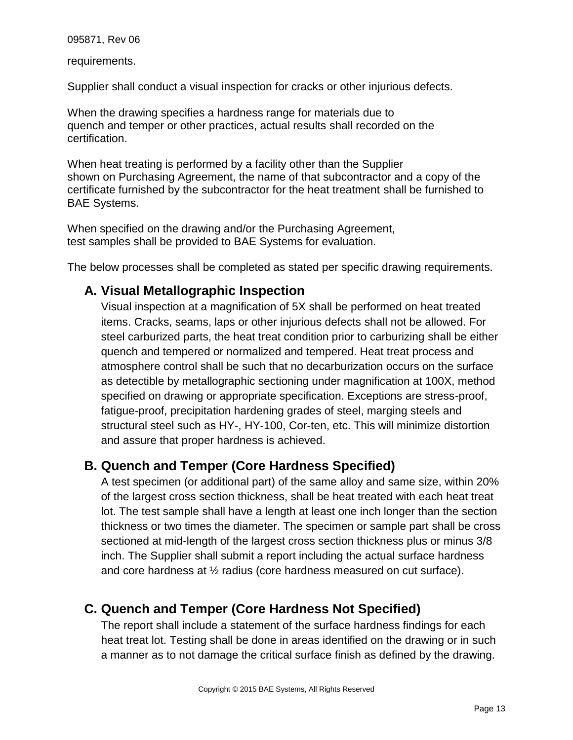requirements.

Supplier shall conduct a visual inspection for cracks or other injurious defects.

When the drawing specifies a hardness range for materials due to quench and temper or other practices, actual results shall recorded on the certification.

When heat treating is performed by a facility other than the Supplier shown on Purchasing Agreement, the name of that subcontractor and a copy of the certificate furnished by the subcontractor for the heat treatment shall be furnished to BAE Systems.

When specified on the drawing and/or the Purchasing Agreement, test samples shall be provided to BAE Systems for evaluation.

<span id="page-12-0"></span>The below processes shall be completed as stated per specific drawing requirements.

### **A. Visual Metallographic Inspection**

Visual inspection at a magnification of 5X shall be performed on heat treated items. Cracks, seams, laps or other injurious defects shall not be allowed. For steel carburized parts, the heat treat condition prior to carburizing shall be either quench and tempered or normalized and tempered. Heat treat process and atmosphere control shall be such that no decarburization occurs on the surface as detectible by metallographic sectioning under magnification at 100X, method specified on drawing or appropriate specification. Exceptions are stress-proof, fatigue-proof, precipitation hardening grades of steel, marging steels and structural steel such as HY-, HY-100, Cor-ten, etc. This will minimize distortion and assure that proper hardness is achieved.

### <span id="page-12-1"></span>**B. Quench and Temper (Core Hardness Specified)**

A test specimen (or additional part) of the same alloy and same size, within 20% of the largest cross section thickness, shall be heat treated with each heat treat lot. The test sample shall have a length at least one inch longer than the section thickness or two times the diameter. The specimen or sample part shall be cross sectioned at mid-length of the largest cross section thickness plus or minus 3/8 inch. The Supplier shall submit a report including the actual surface hardness and core hardness at ½ radius (core hardness measured on cut surface).

# <span id="page-12-2"></span>**C. Quench and Temper (Core Hardness Not Specified)**

The report shall include a statement of the surface hardness findings for each heat treat lot. Testing shall be done in areas identified on the drawing or in such a manner as to not damage the critical surface finish as defined by the drawing.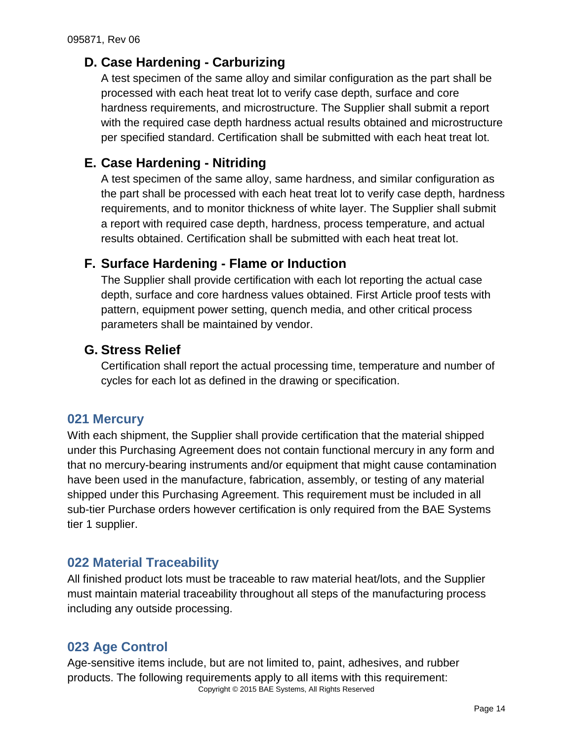# <span id="page-13-0"></span>**D. Case Hardening - Carburizing**

A test specimen of the same alloy and similar configuration as the part shall be processed with each heat treat lot to verify case depth, surface and core hardness requirements, and microstructure. The Supplier shall submit a report with the required case depth hardness actual results obtained and microstructure per specified standard. Certification shall be submitted with each heat treat lot.

# <span id="page-13-1"></span>**E. Case Hardening - Nitriding**

A test specimen of the same alloy, same hardness, and similar configuration as the part shall be processed with each heat treat lot to verify case depth, hardness requirements, and to monitor thickness of white layer. The Supplier shall submit a report with required case depth, hardness, process temperature, and actual results obtained. Certification shall be submitted with each heat treat lot.

### <span id="page-13-2"></span>**F. Surface Hardening - Flame or Induction**

The Supplier shall provide certification with each lot reporting the actual case depth, surface and core hardness values obtained. First Article proof tests with pattern, equipment power setting, quench media, and other critical process parameters shall be maintained by vendor.

### <span id="page-13-3"></span>**G. Stress Relief**

Certification shall report the actual processing time, temperature and number of cycles for each lot as defined in the drawing or specification.

### <span id="page-13-4"></span>**021 Mercury**

With each shipment, the Supplier shall provide certification that the material shipped under this Purchasing Agreement does not contain functional mercury in any form and that no mercury-bearing instruments and/or equipment that might cause contamination have been used in the manufacture, fabrication, assembly, or testing of any material shipped under this Purchasing Agreement. This requirement must be included in all sub-tier Purchase orders however certification is only required from the BAE Systems tier 1 supplier.

# <span id="page-13-5"></span>**022 Material Traceability**

All finished product lots must be traceable to raw material heat/lots, and the Supplier must maintain material traceability throughout all steps of the manufacturing process including any outside processing.

# <span id="page-13-6"></span>**023 Age Control**

Copyright © 2015 BAE Systems, All Rights Reserved Age-sensitive items include, but are not limited to, paint, adhesives, and rubber products. The following requirements apply to all items with this requirement: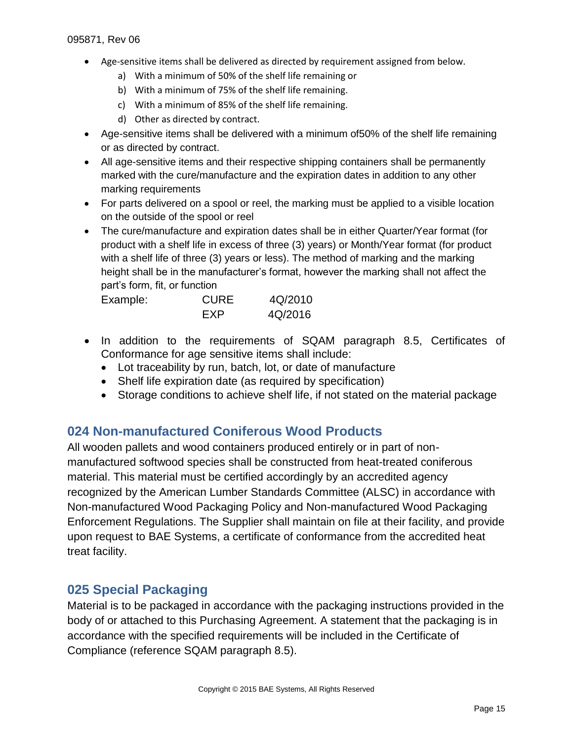- Age-sensitive items shall be delivered as directed by requirement assigned from below.
	- a) With a minimum of 50% of the shelf life remaining or
	- b) With a minimum of 75% of the shelf life remaining.
	- c) With a minimum of 85% of the shelf life remaining.
	- d) Other as directed by contract.
- Age-sensitive items shall be delivered with a minimum of50% of the shelf life remaining or as directed by contract.
- All age-sensitive items and their respective shipping containers shall be permanently marked with the cure/manufacture and the expiration dates in addition to any other marking requirements
- For parts delivered on a spool or reel, the marking must be applied to a visible location on the outside of the spool or reel
- The cure/manufacture and expiration dates shall be in either Quarter/Year format (for product with a shelf life in excess of three (3) years) or Month/Year format (for product with a shelf life of three (3) years or less). The method of marking and the marking height shall be in the manufacturer's format, however the marking shall not affect the part's form, fit, or function

| Example: | <b>CURE</b> | 4Q/2010 |
|----------|-------------|---------|
|          | FXP         | 4Q/2016 |

- In addition to the requirements of SQAM paragraph 8.5, Certificates of Conformance for age sensitive items shall include:
	- Lot traceability by run, batch, lot, or date of manufacture
	- Shelf life expiration date (as required by specification)
	- Storage conditions to achieve shelf life, if not stated on the material package

### <span id="page-14-0"></span>**024 Non-manufactured Coniferous Wood Products**

All wooden pallets and wood containers produced entirely or in part of nonmanufactured softwood species shall be constructed from heat-treated coniferous material. This material must be certified accordingly by an accredited agency recognized by the American Lumber Standards Committee (ALSC) in accordance with Non-manufactured Wood Packaging Policy and Non-manufactured Wood Packaging Enforcement Regulations. The Supplier shall maintain on file at their facility, and provide upon request to BAE Systems, a certificate of conformance from the accredited heat treat facility.

### <span id="page-14-1"></span>**025 Special Packaging**

Material is to be packaged in accordance with the packaging instructions provided in the body of or attached to this Purchasing Agreement. A statement that the packaging is in accordance with the specified requirements will be included in the Certificate of Compliance (reference SQAM paragraph 8.5).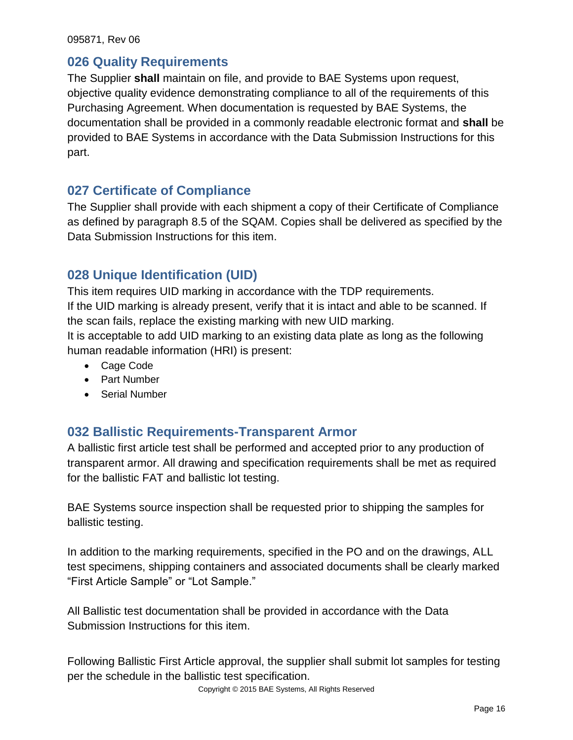### <span id="page-15-0"></span>**026 Quality Requirements**

The Supplier **shall** maintain on file, and provide to BAE Systems upon request, objective quality evidence demonstrating compliance to all of the requirements of this Purchasing Agreement. When documentation is requested by BAE Systems, the documentation shall be provided in a commonly readable electronic format and **shall** be provided to BAE Systems in accordance with the Data Submission Instructions for this part.

### <span id="page-15-1"></span>**027 Certificate of Compliance**

The Supplier shall provide with each shipment a copy of their Certificate of Compliance as defined by paragraph 8.5 of the SQAM. Copies shall be delivered as specified by the Data Submission Instructions for this item.

### <span id="page-15-2"></span>**028 Unique Identification (UID)**

This item requires UID marking in accordance with the TDP requirements. If the UID marking is already present, verify that it is intact and able to be scanned. If the scan fails, replace the existing marking with new UID marking.

It is acceptable to add UID marking to an existing data plate as long as the following human readable information (HRI) is present:

- Cage Code
- Part Number
- Serial Number

### <span id="page-15-3"></span>**032 Ballistic Requirements-Transparent Armor**

A ballistic first article test shall be performed and accepted prior to any production of transparent armor. All drawing and specification requirements shall be met as required for the ballistic FAT and ballistic lot testing.

BAE Systems source inspection shall be requested prior to shipping the samples for ballistic testing.

In addition to the marking requirements, specified in the PO and on the drawings, ALL test specimens, shipping containers and associated documents shall be clearly marked "First Article Sample" or "Lot Sample."

All Ballistic test documentation shall be provided in accordance with the Data Submission Instructions for this item.

Following Ballistic First Article approval, the supplier shall submit lot samples for testing per the schedule in the ballistic test specification.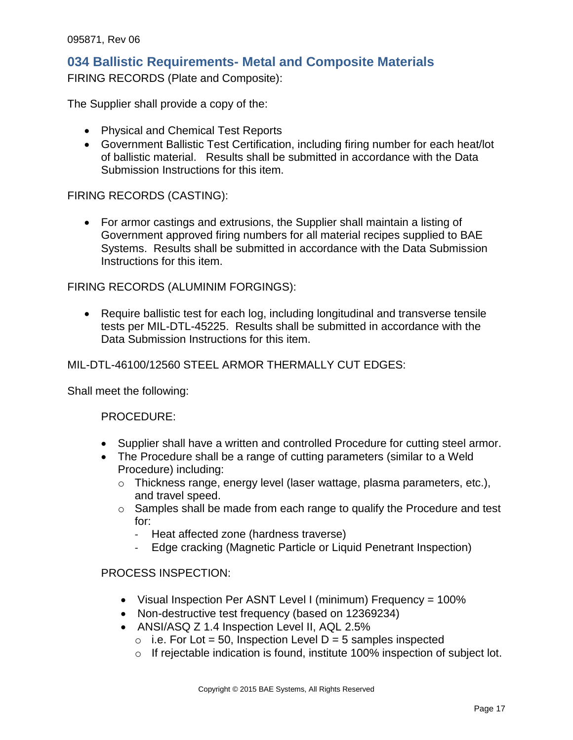### <span id="page-16-0"></span>**034 Ballistic Requirements- Metal and Composite Materials**

FIRING RECORDS (Plate and Composite):

The Supplier shall provide a copy of the:

- Physical and Chemical Test Reports
- Government Ballistic Test Certification, including firing number for each heat/lot of ballistic material. Results shall be submitted in accordance with the Data Submission Instructions for this item.

#### FIRING RECORDS (CASTING):

 For armor castings and extrusions, the Supplier shall maintain a listing of Government approved firing numbers for all material recipes supplied to BAE Systems. Results shall be submitted in accordance with the Data Submission Instructions for this item.

#### FIRING RECORDS (ALUMINIM FORGINGS):

 Require ballistic test for each log, including longitudinal and transverse tensile tests per MIL-DTL-45225. Results shall be submitted in accordance with the Data Submission Instructions for this item.

#### MIL-DTL-46100/12560 STEEL ARMOR THERMALLY CUT EDGES:

Shall meet the following:

#### PROCEDURE:

- Supplier shall have a written and controlled Procedure for cutting steel armor.
- The Procedure shall be a range of cutting parameters (similar to a Weld Procedure) including:
	- o Thickness range, energy level (laser wattage, plasma parameters, etc.), and travel speed.
	- o Samples shall be made from each range to qualify the Procedure and test for:
		- Heat affected zone (hardness traverse)
		- Edge cracking (Magnetic Particle or Liquid Penetrant Inspection)

#### PROCESS INSPECTION:

- Visual Inspection Per ASNT Level I (minimum) Frequency = 100%
- Non-destructive test frequency (based on 12369234)
- ANSI/ASQ Z 1.4 Inspection Level II, AQL 2.5%
	- $\circ$  i.e. For Lot = 50, Inspection Level D = 5 samples inspected
	- o If rejectable indication is found, institute 100% inspection of subject lot.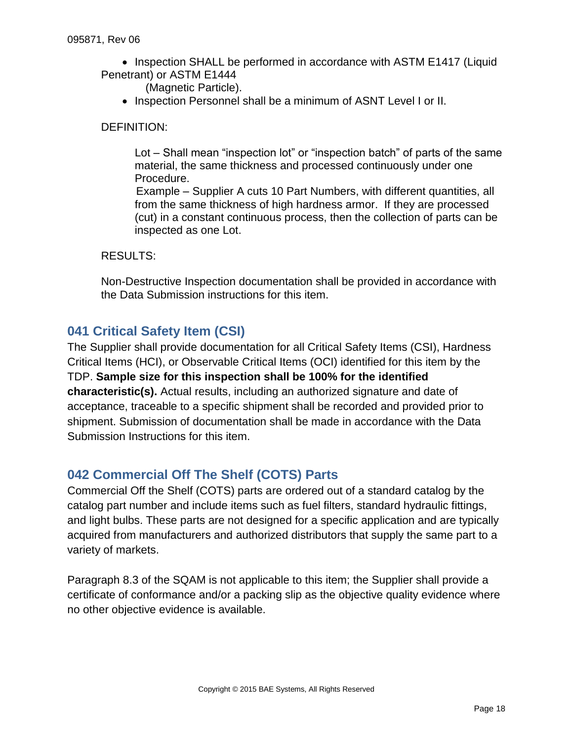• Inspection SHALL be performed in accordance with ASTM E1417 (Liquid Penetrant) or ASTM E1444

(Magnetic Particle).

• Inspection Personnel shall be a minimum of ASNT Level I or II.

#### DEFINITION:

Lot – Shall mean "inspection lot" or "inspection batch" of parts of the same material, the same thickness and processed continuously under one Procedure.

Example – Supplier A cuts 10 Part Numbers, with different quantities, all from the same thickness of high hardness armor. If they are processed (cut) in a constant continuous process, then the collection of parts can be inspected as one Lot.

#### RESULTS:

Non-Destructive Inspection documentation shall be provided in accordance with the Data Submission instructions for this item.

### <span id="page-17-0"></span>**041 Critical Safety Item (CSI)**

The Supplier shall provide documentation for all Critical Safety Items (CSI), Hardness Critical Items (HCI), or Observable Critical Items (OCI) identified for this item by the TDP. **Sample size for this inspection shall be 100% for the identified characteristic(s).** Actual results, including an authorized signature and date of acceptance, traceable to a specific shipment shall be recorded and provided prior to shipment. Submission of documentation shall be made in accordance with the Data Submission Instructions for this item.

### <span id="page-17-1"></span>**042 Commercial Off The Shelf (COTS) Parts**

Commercial Off the Shelf (COTS) parts are ordered out of a standard catalog by the catalog part number and include items such as fuel filters, standard hydraulic fittings, and light bulbs. These parts are not designed for a specific application and are typically acquired from manufacturers and authorized distributors that supply the same part to a variety of markets.

Paragraph 8.3 of the SQAM is not applicable to this item; the Supplier shall provide a certificate of conformance and/or a packing slip as the objective quality evidence where no other objective evidence is available.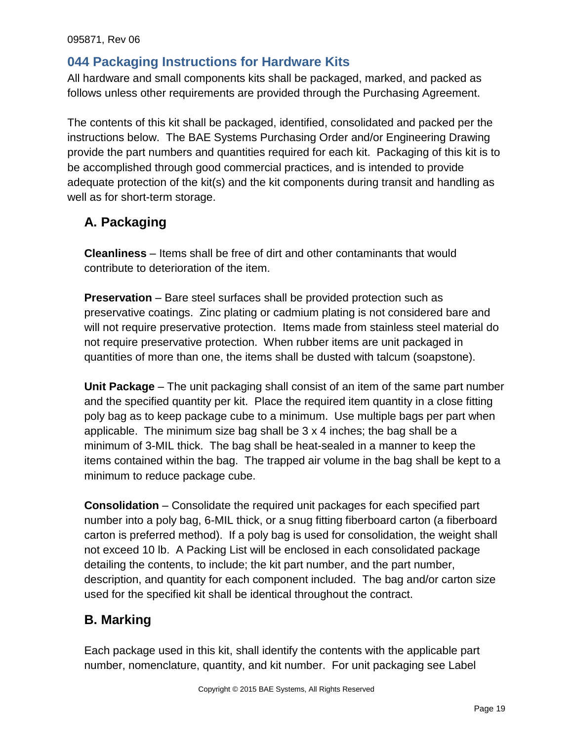# <span id="page-18-0"></span>**044 Packaging Instructions for Hardware Kits**

All hardware and small components kits shall be packaged, marked, and packed as follows unless other requirements are provided through the Purchasing Agreement.

The contents of this kit shall be packaged, identified, consolidated and packed per the instructions below. The BAE Systems Purchasing Order and/or Engineering Drawing provide the part numbers and quantities required for each kit. Packaging of this kit is to be accomplished through good commercial practices, and is intended to provide adequate protection of the kit(s) and the kit components during transit and handling as well as for short-term storage.

# <span id="page-18-1"></span>**A. Packaging**

**Cleanliness** – Items shall be free of dirt and other contaminants that would contribute to deterioration of the item.

**Preservation** – Bare steel surfaces shall be provided protection such as preservative coatings. Zinc plating or cadmium plating is not considered bare and will not require preservative protection. Items made from stainless steel material do not require preservative protection. When rubber items are unit packaged in quantities of more than one, the items shall be dusted with talcum (soapstone).

**Unit Package** – The unit packaging shall consist of an item of the same part number and the specified quantity per kit. Place the required item quantity in a close fitting poly bag as to keep package cube to a minimum. Use multiple bags per part when applicable. The minimum size bag shall be 3 x 4 inches; the bag shall be a minimum of 3-MIL thick. The bag shall be heat-sealed in a manner to keep the items contained within the bag. The trapped air volume in the bag shall be kept to a minimum to reduce package cube.

**Consolidation** – Consolidate the required unit packages for each specified part number into a poly bag, 6-MIL thick, or a snug fitting fiberboard carton (a fiberboard carton is preferred method). If a poly bag is used for consolidation, the weight shall not exceed 10 lb. A Packing List will be enclosed in each consolidated package detailing the contents, to include; the kit part number, and the part number, description, and quantity for each component included. The bag and/or carton size used for the specified kit shall be identical throughout the contract.

# <span id="page-18-2"></span>**B. Marking**

Each package used in this kit, shall identify the contents with the applicable part number, nomenclature, quantity, and kit number. For unit packaging see Label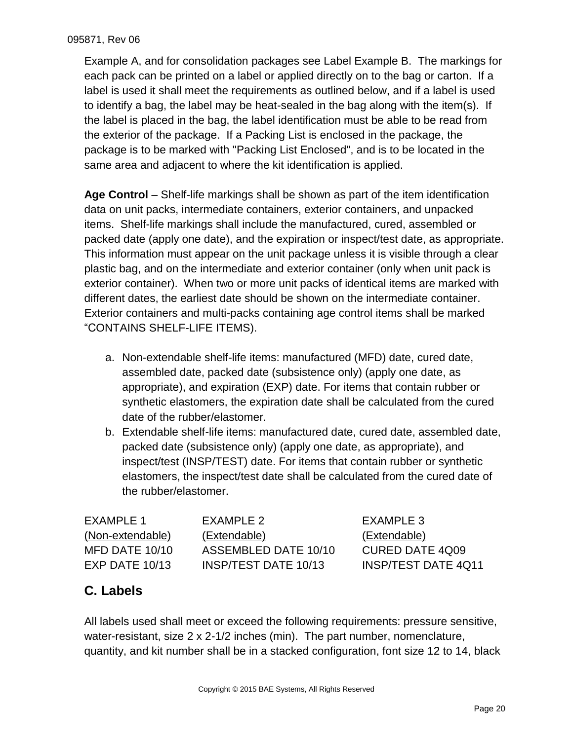Example A, and for consolidation packages see Label Example B. The markings for each pack can be printed on a label or applied directly on to the bag or carton. If a label is used it shall meet the requirements as outlined below, and if a label is used to identify a bag, the label may be heat-sealed in the bag along with the item(s). If the label is placed in the bag, the label identification must be able to be read from the exterior of the package. If a Packing List is enclosed in the package, the package is to be marked with "Packing List Enclosed", and is to be located in the same area and adjacent to where the kit identification is applied.

**Age Control** – Shelf-life markings shall be shown as part of the item identification data on unit packs, intermediate containers, exterior containers, and unpacked items. Shelf-life markings shall include the manufactured, cured, assembled or packed date (apply one date), and the expiration or inspect/test date, as appropriate. This information must appear on the unit package unless it is visible through a clear plastic bag, and on the intermediate and exterior container (only when unit pack is exterior container). When two or more unit packs of identical items are marked with different dates, the earliest date should be shown on the intermediate container. Exterior containers and multi-packs containing age control items shall be marked "CONTAINS SHELF-LIFE ITEMS).

- a. Non-extendable shelf-life items: manufactured (MFD) date, cured date, assembled date, packed date (subsistence only) (apply one date, as appropriate), and expiration (EXP) date. For items that contain rubber or synthetic elastomers, the expiration date shall be calculated from the cured date of the rubber/elastomer.
- b. Extendable shelf-life items: manufactured date, cured date, assembled date, packed date (subsistence only) (apply one date, as appropriate), and inspect/test (INSP/TEST) date. For items that contain rubber or synthetic elastomers, the inspect/test date shall be calculated from the cured date of the rubber/elastomer.

| EXAMPLE 1        | FXAMPLE 2                   | EXAMPLE 3                  |
|------------------|-----------------------------|----------------------------|
| (Non-extendable) | (Extendable)                | (Extendable)               |
| MFD DATE 10/10   | ASSEMBLED DATE 10/10        | CURED DATE 4Q09            |
| $EXP$ DATE 10/13 | <b>INSP/TEST DATE 10/13</b> | <b>INSP/TEST DATE 4Q11</b> |

# <span id="page-19-0"></span>**C. Labels**

All labels used shall meet or exceed the following requirements: pressure sensitive, water-resistant, size 2 x 2-1/2 inches (min). The part number, nomenclature, quantity, and kit number shall be in a stacked configuration, font size 12 to 14, black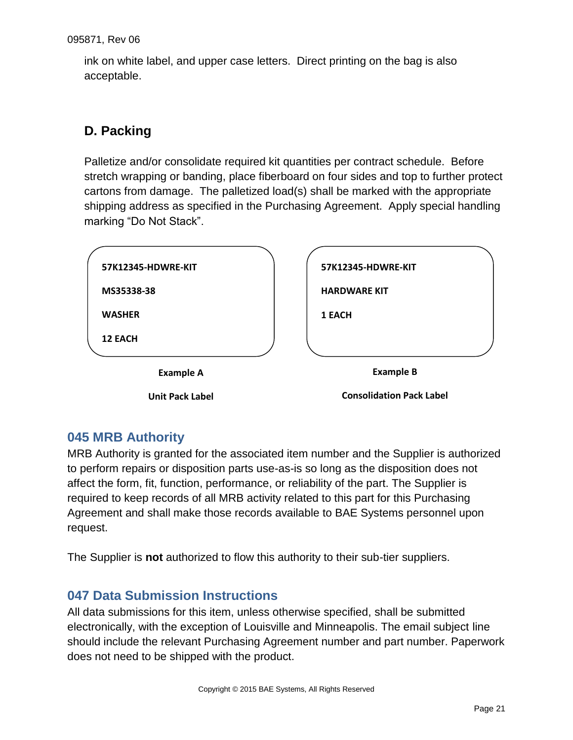ink on white label, and upper case letters. Direct printing on the bag is also acceptable.

# <span id="page-20-0"></span>**D. Packing**

Palletize and/or consolidate required kit quantities per contract schedule. Before stretch wrapping or banding, place fiberboard on four sides and top to further protect cartons from damage. The palletized load(s) shall be marked with the appropriate shipping address as specified in the Purchasing Agreement. Apply special handling marking "Do Not Stack".

| 57K12345-HDWRE-KIT     | 57K12345-HDWRE-KIT              |
|------------------------|---------------------------------|
| MS35338-38             | <b>HARDWARE KIT</b>             |
| <b>WASHER</b>          | 1 EACH                          |
| <b>12 EACH</b>         |                                 |
| <b>Example A</b>       | <b>Example B</b>                |
| <b>Unit Pack Label</b> | <b>Consolidation Pack Label</b> |

# <span id="page-20-1"></span>**045 MRB Authority**

MRB Authority is granted for the associated item number and the Supplier is authorized to perform repairs or disposition parts use-as-is so long as the disposition does not affect the form, fit, function, performance, or reliability of the part. The Supplier is required to keep records of all MRB activity related to this part for this Purchasing Agreement and shall make those records available to BAE Systems personnel upon request.

<span id="page-20-2"></span>The Supplier is **not** authorized to flow this authority to their sub-tier suppliers.

# **047 Data Submission Instructions**

All data submissions for this item, unless otherwise specified, shall be submitted electronically, with the exception of Louisville and Minneapolis. The email subject line should include the relevant Purchasing Agreement number and part number. Paperwork does not need to be shipped with the product.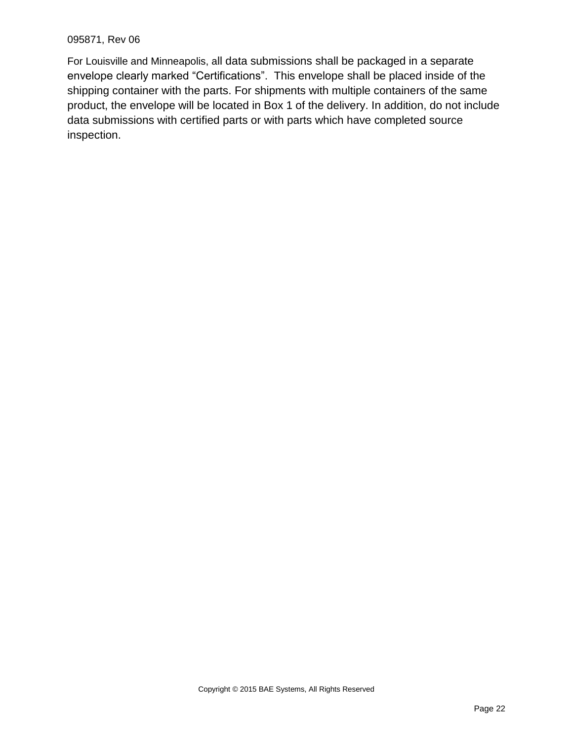For Louisville and Minneapolis, all data submissions shall be packaged in a separate envelope clearly marked "Certifications". This envelope shall be placed inside of the shipping container with the parts. For shipments with multiple containers of the same product, the envelope will be located in Box 1 of the delivery. In addition, do not include data submissions with certified parts or with parts which have completed source inspection.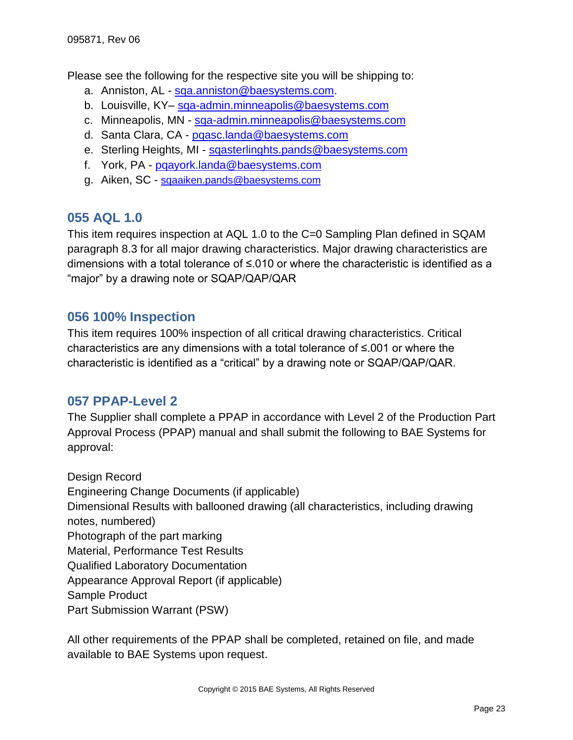Please see the following for the respective site you will be shipping to:

- a. Anniston, AL [sqa.anniston@baesystems.com.](mailto:sqa.anniston@baesystems.com)
- b. Louisville, KY– [sqa-admin.minneapolis@baesystems.com](mailto:sqa-admin.minneapolis@baesystems.com)
- c. Minneapolis, MN [sqa-admin.minneapolis@baesystems.com](mailto:sqa-admin.minneapolis@baesystems.com)
- d. Santa Clara, CA [pqasc.landa@baesystems.com](mailto:pqasc.landa@baesystems.com)
- e. Sterling Heights, MI [sqasterlinghts.pands@baesystems.com](mailto:sqasterlinghts.pands@baesystems.com)
- f. York, PA [pqayork.landa@baesystems.com](mailto:pqayork.landa@baesystems.com)
- g. Aiken, SC [sqaaiken.pands@baesystems.com](mailto:sqaaiken.pands@baesystems.com)

### <span id="page-22-0"></span>**055 AQL 1.0**

This item requires inspection at AQL 1.0 to the C=0 Sampling Plan defined in SQAM paragraph 8.3 for all major drawing characteristics. Major drawing characteristics are dimensions with a total tolerance of ≤.010 or where the characteristic is identified as a "major" by a drawing note or SQAP/QAP/QAR

### <span id="page-22-1"></span>**056 100% Inspection**

This item requires 100% inspection of all critical drawing characteristics. Critical characteristics are any dimensions with a total tolerance of ≤.001 or where the characteristic is identified as a "critical" by a drawing note or SQAP/QAP/QAR.

### <span id="page-22-2"></span>**057 PPAP-Level 2**

The Supplier shall complete a PPAP in accordance with Level 2 of the Production Part Approval Process (PPAP) manual and shall submit the following to BAE Systems for approval:

Design Record Engineering Change Documents (if applicable) Dimensional Results with ballooned drawing (all characteristics, including drawing notes, numbered) Photograph of the part marking Material, Performance Test Results Qualified Laboratory Documentation Appearance Approval Report (if applicable) Sample Product Part Submission Warrant (PSW)

All other requirements of the PPAP shall be completed, retained on file, and made available to BAE Systems upon request.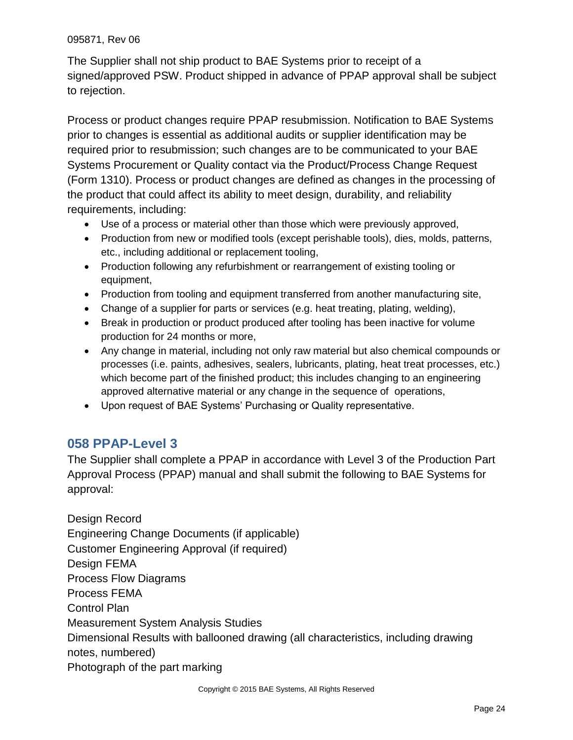The Supplier shall not ship product to BAE Systems prior to receipt of a signed/approved PSW. Product shipped in advance of PPAP approval shall be subject to rejection.

Process or product changes require PPAP resubmission. Notification to BAE Systems prior to changes is essential as additional audits or supplier identification may be required prior to resubmission; such changes are to be communicated to your BAE Systems Procurement or Quality contact via the Product/Process Change Request (Form 1310). Process or product changes are defined as changes in the processing of the product that could affect its ability to meet design, durability, and reliability requirements, including:

- Use of a process or material other than those which were previously approved,
- Production from new or modified tools (except perishable tools), dies, molds, patterns, etc., including additional or replacement tooling,
- Production following any refurbishment or rearrangement of existing tooling or equipment,
- Production from tooling and equipment transferred from another manufacturing site,
- Change of a supplier for parts or services (e.g. heat treating, plating, welding),
- Break in production or product produced after tooling has been inactive for volume production for 24 months or more,
- Any change in material, including not only raw material but also chemical compounds or processes (i.e. paints, adhesives, sealers, lubricants, plating, heat treat processes, etc.) which become part of the finished product; this includes changing to an engineering approved alternative material or any change in the sequence of operations,
- Upon request of BAE Systems' Purchasing or Quality representative.

# <span id="page-23-0"></span>**058 PPAP-Level 3**

The Supplier shall complete a PPAP in accordance with Level 3 of the Production Part Approval Process (PPAP) manual and shall submit the following to BAE Systems for approval:

Design Record Engineering Change Documents (if applicable) Customer Engineering Approval (if required) Design FEMA Process Flow Diagrams Process FEMA Control Plan Measurement System Analysis Studies Dimensional Results with ballooned drawing (all characteristics, including drawing notes, numbered) Photograph of the part marking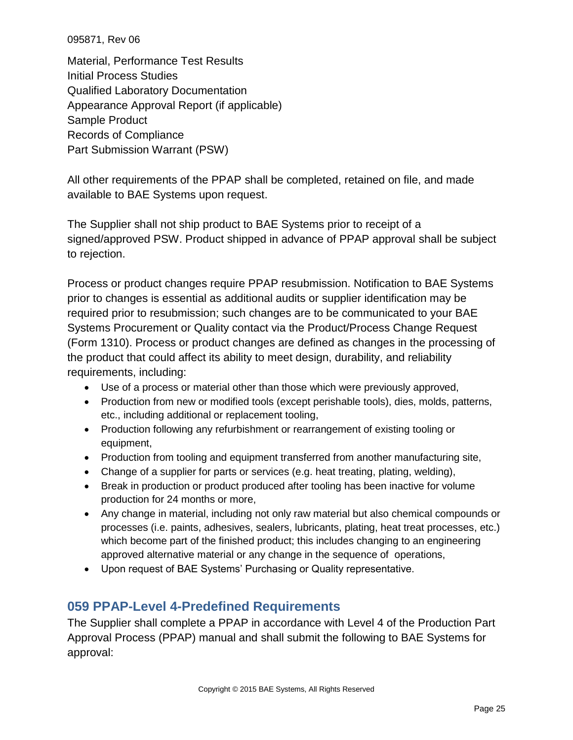Material, Performance Test Results Initial Process Studies Qualified Laboratory Documentation Appearance Approval Report (if applicable) Sample Product Records of Compliance Part Submission Warrant (PSW)

All other requirements of the PPAP shall be completed, retained on file, and made available to BAE Systems upon request.

The Supplier shall not ship product to BAE Systems prior to receipt of a signed/approved PSW. Product shipped in advance of PPAP approval shall be subject to rejection.

Process or product changes require PPAP resubmission. Notification to BAE Systems prior to changes is essential as additional audits or supplier identification may be required prior to resubmission; such changes are to be communicated to your BAE Systems Procurement or Quality contact via the Product/Process Change Request (Form 1310). Process or product changes are defined as changes in the processing of the product that could affect its ability to meet design, durability, and reliability requirements, including:

- Use of a process or material other than those which were previously approved,
- Production from new or modified tools (except perishable tools), dies, molds, patterns, etc., including additional or replacement tooling,
- Production following any refurbishment or rearrangement of existing tooling or equipment,
- Production from tooling and equipment transferred from another manufacturing site,
- Change of a supplier for parts or services (e.g. heat treating, plating, welding),
- Break in production or product produced after tooling has been inactive for volume production for 24 months or more,
- Any change in material, including not only raw material but also chemical compounds or processes (i.e. paints, adhesives, sealers, lubricants, plating, heat treat processes, etc.) which become part of the finished product; this includes changing to an engineering approved alternative material or any change in the sequence of operations,
- <span id="page-24-0"></span>Upon request of BAE Systems' Purchasing or Quality representative.

# **059 PPAP-Level 4-Predefined Requirements**

The Supplier shall complete a PPAP in accordance with Level 4 of the Production Part Approval Process (PPAP) manual and shall submit the following to BAE Systems for approval: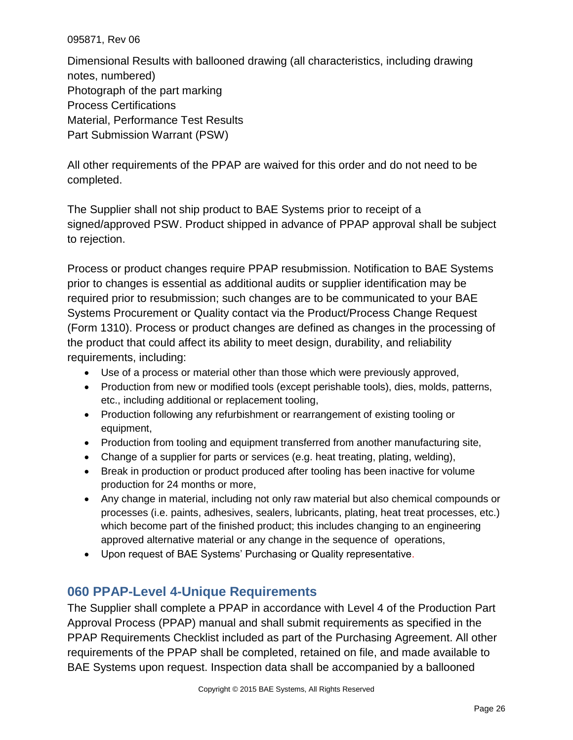Dimensional Results with ballooned drawing (all characteristics, including drawing notes, numbered) Photograph of the part marking Process Certifications Material, Performance Test Results Part Submission Warrant (PSW)

All other requirements of the PPAP are waived for this order and do not need to be completed.

The Supplier shall not ship product to BAE Systems prior to receipt of a signed/approved PSW. Product shipped in advance of PPAP approval shall be subject to rejection.

Process or product changes require PPAP resubmission. Notification to BAE Systems prior to changes is essential as additional audits or supplier identification may be required prior to resubmission; such changes are to be communicated to your BAE Systems Procurement or Quality contact via the Product/Process Change Request (Form 1310). Process or product changes are defined as changes in the processing of the product that could affect its ability to meet design, durability, and reliability requirements, including:

- Use of a process or material other than those which were previously approved,
- Production from new or modified tools (except perishable tools), dies, molds, patterns, etc., including additional or replacement tooling,
- Production following any refurbishment or rearrangement of existing tooling or equipment,
- Production from tooling and equipment transferred from another manufacturing site,
- Change of a supplier for parts or services (e.g. heat treating, plating, welding),
- Break in production or product produced after tooling has been inactive for volume production for 24 months or more,
- Any change in material, including not only raw material but also chemical compounds or processes (i.e. paints, adhesives, sealers, lubricants, plating, heat treat processes, etc.) which become part of the finished product; this includes changing to an engineering approved alternative material or any change in the sequence of operations,
- Upon request of BAE Systems' Purchasing or Quality representative.

# <span id="page-25-0"></span>**060 PPAP-Level 4-Unique Requirements**

The Supplier shall complete a PPAP in accordance with Level 4 of the Production Part Approval Process (PPAP) manual and shall submit requirements as specified in the PPAP Requirements Checklist included as part of the Purchasing Agreement. All other requirements of the PPAP shall be completed, retained on file, and made available to BAE Systems upon request. Inspection data shall be accompanied by a ballooned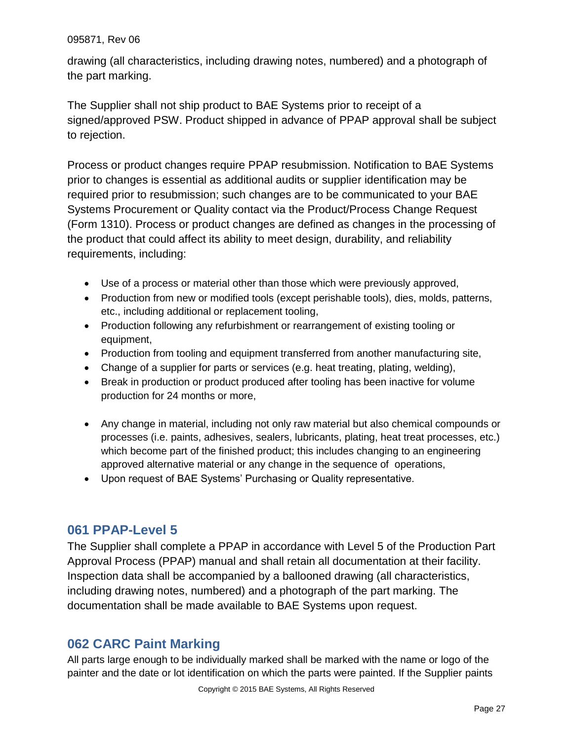drawing (all characteristics, including drawing notes, numbered) and a photograph of the part marking.

The Supplier shall not ship product to BAE Systems prior to receipt of a signed/approved PSW. Product shipped in advance of PPAP approval shall be subject to rejection.

Process or product changes require PPAP resubmission. Notification to BAE Systems prior to changes is essential as additional audits or supplier identification may be required prior to resubmission; such changes are to be communicated to your BAE Systems Procurement or Quality contact via the Product/Process Change Request (Form 1310). Process or product changes are defined as changes in the processing of the product that could affect its ability to meet design, durability, and reliability requirements, including:

- Use of a process or material other than those which were previously approved,
- Production from new or modified tools (except perishable tools), dies, molds, patterns, etc., including additional or replacement tooling,
- Production following any refurbishment or rearrangement of existing tooling or equipment,
- Production from tooling and equipment transferred from another manufacturing site,
- Change of a supplier for parts or services (e.g. heat treating, plating, welding),
- Break in production or product produced after tooling has been inactive for volume production for 24 months or more,
- Any change in material, including not only raw material but also chemical compounds or processes (i.e. paints, adhesives, sealers, lubricants, plating, heat treat processes, etc.) which become part of the finished product; this includes changing to an engineering approved alternative material or any change in the sequence of operations,
- Upon request of BAE Systems' Purchasing or Quality representative.

# <span id="page-26-0"></span>**061 PPAP-Level 5**

The Supplier shall complete a PPAP in accordance with Level 5 of the Production Part Approval Process (PPAP) manual and shall retain all documentation at their facility. Inspection data shall be accompanied by a ballooned drawing (all characteristics, including drawing notes, numbered) and a photograph of the part marking. The documentation shall be made available to BAE Systems upon request.

# <span id="page-26-1"></span>**062 CARC Paint Marking**

All parts large enough to be individually marked shall be marked with the name or logo of the painter and the date or lot identification on which the parts were painted. If the Supplier paints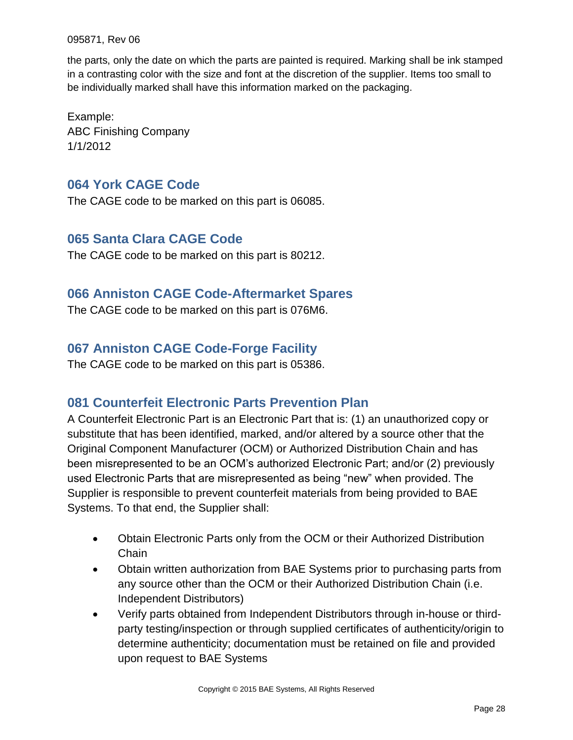the parts, only the date on which the parts are painted is required. Marking shall be ink stamped in a contrasting color with the size and font at the discretion of the supplier. Items too small to be individually marked shall have this information marked on the packaging.

Example: ABC Finishing Company 1/1/2012

### <span id="page-27-0"></span>**064 York CAGE Code**

<span id="page-27-1"></span>The CAGE code to be marked on this part is 06085.

### **065 Santa Clara CAGE Code**

<span id="page-27-2"></span>The CAGE code to be marked on this part is 80212.

### **066 Anniston CAGE Code-Aftermarket Spares**

<span id="page-27-3"></span>The CAGE code to be marked on this part is 076M6.

### **067 Anniston CAGE Code-Forge Facility**

<span id="page-27-4"></span>The CAGE code to be marked on this part is 05386.

### **081 Counterfeit Electronic Parts Prevention Plan**

A Counterfeit Electronic Part is an Electronic Part that is: (1) an unauthorized copy or substitute that has been identified, marked, and/or altered by a source other that the Original Component Manufacturer (OCM) or Authorized Distribution Chain and has been misrepresented to be an OCM's authorized Electronic Part; and/or (2) previously used Electronic Parts that are misrepresented as being "new" when provided. The Supplier is responsible to prevent counterfeit materials from being provided to BAE Systems. To that end, the Supplier shall:

- Obtain Electronic Parts only from the OCM or their Authorized Distribution **Chain**
- Obtain written authorization from BAE Systems prior to purchasing parts from any source other than the OCM or their Authorized Distribution Chain (i.e. Independent Distributors)
- Verify parts obtained from Independent Distributors through in-house or thirdparty testing/inspection or through supplied certificates of authenticity/origin to determine authenticity; documentation must be retained on file and provided upon request to BAE Systems